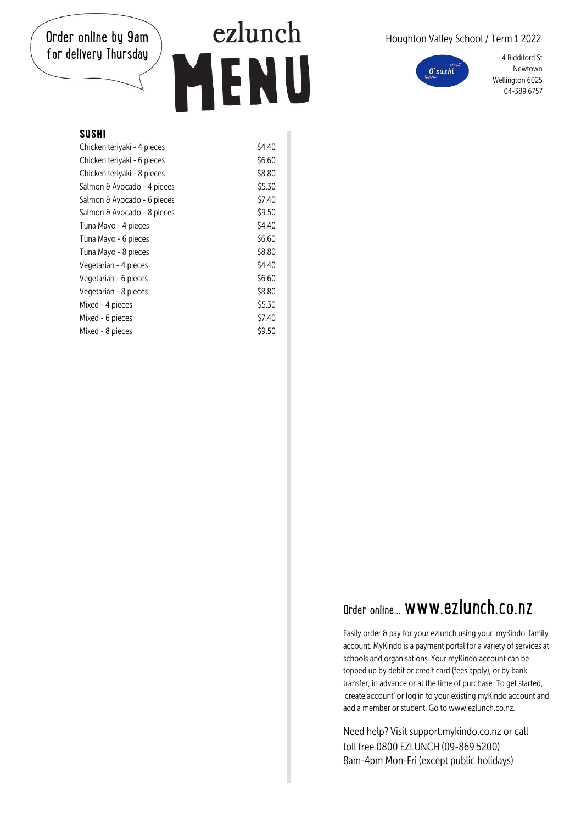## Order online by 9am for delivery Thursday

## ezlunch ENU  $\mathbf{L}$

### Houghton Valley School / Term 1 2022



4 Riddiford St Newtown Wellington 6025 04-389 6757

#### SUSHI

| Chicken teriyaki - 4 pieces | \$4.40 |
|-----------------------------|--------|
| Chicken teriyaki - 6 pieces | \$6.60 |
| Chicken teriyaki - 8 pieces | \$8.80 |
| Salmon & Avocado - 4 pieces | \$5.30 |
| Salmon & Avocado - 6 pieces | \$7.40 |
| Salmon & Avocado - 8 pieces | \$9.50 |
| Tuna Mayo - 4 pieces        | \$4.40 |
| Tuna Mayo - 6 pieces        | \$6.60 |
| Tuna Mayo - 8 pieces        | \$8.80 |
| Vegetarian - 4 pieces       | \$4.40 |
| Vegetarian - 6 pieces       | \$6.60 |
| Vegetarian - 8 pieces       | \$8.80 |
| Mixed - 4 pieces            | \$5.30 |
| Mixed - 6 pieces            | \$7.40 |
| Mixed - 8 pieces            | \$9.50 |

## Order online. www.ezlunch.co.nz

Easily order & pay for your ezlunch using your 'myKindo' family account. MyKindo is a payment portal for a variety of services at schools and organisations. Your myKindo account can be topped up by debit or credit card (fees apply), or by bank transfer, in advance or at the time of purchase. To get started, 'create account' or log in to your existing myKindo account and add a member or student. Go to www.ezlunch.co.nz.

Need help? Visit support.mykindo.co.nz or call toll free 0800 F7LUNCH (09-869 5200) 8am-4pm Mon-Fri (except public holidays)